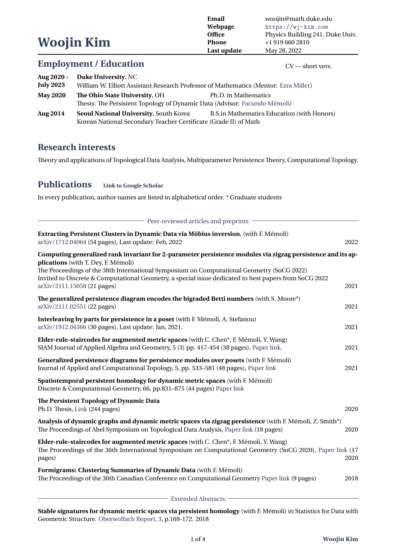**Woojin Kim Email** woojin@math.duke.edu<br> **Webpage** https://wj-kim.com **Webpage** <https://wj-kim.com> **Office** Physics Building 241, Duke Univ. **Phone**  $+1\,919\,660\,2810$ **Last update** May 28, 2022 **Employment / Education** CV — short vers. **Aug 2020 - Duke University**, NC **July 2023** William W. Elliott Assistant Research Professor of Mathematics (Mentor: [Ezra Miller](https://services.math.duke.edu/~ezra/)) **May 2020 The Ohio State University**, OH Ph.D. in Mathematics Thesis: The Persistent Topology of Dynamic Data (Advisor: [Facundo Mémoli\)](https://people.math.osu.edu/memolitechera.1/courses/cse-topics-2016/)

**Aug 2014 Seoul National University**, South Korea B.S.in Mathematics Education (with Honors) Korean National Secondary Teacher Certificate (Grade II) of Math

### **Research interests**

Theory and applications of Topological Data Analysis, Multiparameter Persistence Theory, Computational Topology.

#### **Publications [Link to Google Scholar](https://arxiv.org/abs/2111.15058)**

In every publication, author names are listed in alphabetical order. \* Graduate students

| Peer-reviewed articles and preprints                                                                                                                                                                                                                                                                                                                                                    |      |
|-----------------------------------------------------------------------------------------------------------------------------------------------------------------------------------------------------------------------------------------------------------------------------------------------------------------------------------------------------------------------------------------|------|
| Extracting Persistent Clusters in Dynamic Data via Möbius inversion, (with F. Mémoli)<br>arXiv/1712.04064 (54 pages), Last update: Feb, 2022                                                                                                                                                                                                                                            | 2022 |
| Computing generalized rank invariant for 2-parameter persistence modules via zigzag persistence and its ap-<br>plications (with T. Dey, F. Mémoli)<br>The Proceedings of the 38th International Symposium on Computational Geometry (SoCG 2022)<br>Invited to Discrete & Computational Geometry, a special issue dedicated to best papers from SoCG 2022<br>arXiv/2111.15058 (21 pages) | 2021 |
| The generalized persistence diagram encodes the bigraded Betti numbers (with S. Moore*)<br>arXiv/2111.02551 (22 pages)                                                                                                                                                                                                                                                                  | 2021 |
| Interleaving by parts for persistence in a poset (with F. Mémoli, A. Stefanou)<br>arXiv/1912.04366 (30 pages), Last update: Jan, 2021.                                                                                                                                                                                                                                                  | 2021 |
| Elder-rule-staircodes for augmented metric spaces (with C. Chen*, F. Mémoli, Y. Wang)<br>SIAM Journal of Applied Algebra and Geometry, 5 (3) pp. 417-454 (38 pages), Paper link.                                                                                                                                                                                                        | 2021 |
| Generalized persistence diagrams for persistence modules over posets (with F. Mémoli)<br>Journal of Applied and Computational Topology, 5, pp. 533-581 (48 pages), Paper link                                                                                                                                                                                                           | 2021 |
| Spatiotemporal persistent homology for dynamic metric spaces (with F. Mémoli)<br>Discrete & Computational Geometry, 66, pp.831-875 (44 pages) Paper link                                                                                                                                                                                                                                |      |
| The Persistent Topology of Dynamic Data<br>Ph.D. Thesis, Link (244 pages)                                                                                                                                                                                                                                                                                                               | 2020 |
| Analysis of dynamic graphs and dynamic metric spaces via zigzag persistence (with F. Mémoli, Z. Smith*)<br>The Proceedings of Abel Symposium on Topological Data Analysis, Paper link (18 pages)                                                                                                                                                                                        | 2020 |
| Elder-rule-staircodes for augmented metric spaces (with C. Chen*, F. Mémoli, Y. Wang)<br>The Proceedings of the 36th International Symposium on Computational Geometry (SoCG 2020), Paper link (17<br>pages)                                                                                                                                                                            | 2020 |
| Formigrams: Clustering Summaries of Dynamic Data (with F. Mémoli)<br>The Proceedings of the 30th Canadian Conference on Computational Geometry Paper link (9 pages)                                                                                                                                                                                                                     | 2018 |
| Extended Abstracts                                                                                                                                                                                                                                                                                                                                                                      |      |

**Stable signatures for dynamic metric spaces via persistent homology** (with F. Mémoli) in Statistics for Data with Geometric Structure. [Oberwolfach Report, 3](https://www.ems-ph.org/journals/show_abstract.php?issn=1660-8933&vol=15&iss=1&rank=3), p.169-172. 2018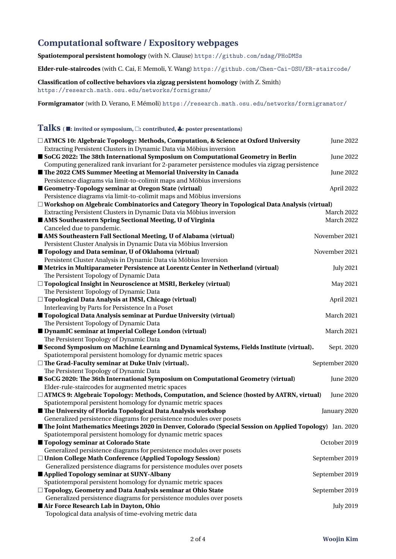# **Computational software / Expository webpages**

**Spatiotemporal persistent homology** (with N. Clause) <https://github.com/ndag/PHoDMSs>

**Elder-rule-staircodes** (with C. Cai, F. Memoli, Y. Wang) <https://github.com/Chen-Cai-OSU/ER-staircode/>

**Classification of collective behaviors via zigzag persistent homology** (with Z. Smith) <https://research.math.osu.edu/networks/formigrams/>

**Formigramator** (with D. Verano, F. Mémoli) <https://research.math.osu.edu/networks/formigramator/>

### **Talks (** ■**: invited or symposium,** □**: contributed,** *♣***: poster presentations)**

| $\Box$ ATMCS 10: Algebraic Topology: Methods, Computation, & Science at Oxford University<br>Extracting Persistent Clusters in Dynamic Data via Möbius inversion | <b>June 2022</b> |
|------------------------------------------------------------------------------------------------------------------------------------------------------------------|------------------|
| SoCG 2022: The 38th International Symposium on Computational Geometry in Berlin                                                                                  | <b>June 2022</b> |
| Computing generalized rank invariant for 2-parameter persistence modules via zigzag persistence                                                                  |                  |
| The 2022 CMS Summer Meeting at Memorial University in Canada                                                                                                     | June 2022        |
| Persistence diagrams via limit-to-colimit maps and Möbius inversions                                                                                             |                  |
| Geometry-Topology seminar at Oregon State (virtual)                                                                                                              | April 2022       |
| Persistence diagrams via limit-to-colimit maps and Möbius inversions                                                                                             |                  |
| $\Box$ Workshop on Algebraic Combinatorics and Category Theory in Topological Data Analysis (virtual)                                                            |                  |
| Extracting Persistent Clusters in Dynamic Data via Möbius inversion                                                                                              | March 2022       |
| AMS Southeastern Spring Sectional Meeting, U of Virginia<br>Canceled due to pandemic.                                                                            | March 2022       |
| AMS Southeastern Fall Sectional Meeting, U of Alabama (virtual)                                                                                                  | November 2021    |
| Persistent Cluster Analysis in Dynamic Data via Möbius Inversion                                                                                                 |                  |
| ■ Topology and Data seminar, U of Oklahoma (virtual)                                                                                                             | November 2021    |
| Persistent Cluster Analysis in Dynamic Data via Möbius Inversion                                                                                                 |                  |
| <b>In Metrics in Multiparameter Persistence at Lorentz Center in Netherland (virtual)</b>                                                                        | <b>July 2021</b> |
| The Persistent Topology of Dynamic Data                                                                                                                          |                  |
| □ Topological Insight in Neuroscience at MSRI, Berkeley (virtual)                                                                                                | May 2021         |
| The Persistent Topology of Dynamic Data                                                                                                                          |                  |
| □ Topological Data Analysis at IMSI, Chicago (virtual)                                                                                                           | April 2021       |
| Interleaving by Parts for Persistence In a Poset                                                                                                                 |                  |
| ■ Topological Data Analysis seminar at Purdue University (virtual)                                                                                               | March 2021       |
| The Persistent Topology of Dynamic Data                                                                                                                          |                  |
| DynamIC seminar at Imperial College London (virtual)                                                                                                             | March 2021       |
| The Persistent Topology of Dynamic Data                                                                                                                          |                  |
| Second Symposium on Machine Learning and Dynamical Systems, Fields Institute (virtual).                                                                          | Sept. 2020       |
| Spatiotemporal persistent homology for dynamic metric spaces                                                                                                     |                  |
| $\Box$ The Grad-Faculty seminar at Duke Univ (virtual).                                                                                                          | September 2020   |
| The Persistent Topology of Dynamic Data                                                                                                                          |                  |
| SoCG 2020: The 36th International Symposium on Computational Geometry (virtual)                                                                                  | <b>June 2020</b> |
| Elder-rule-staircodes for augmented metric spaces                                                                                                                |                  |
| □ ATMCS 9: Algebraic Topology: Methods, Computation, and Science (hosted by AATRN, virtual)                                                                      | <b>June 2020</b> |
| Spatiotemporal persistent homology for dynamic metric spaces                                                                                                     |                  |
| The University of Florida Topological Data Analysis workshop<br>Generalized persistence diagrams for persistence modules over posets                             | January 2020     |
| <b>In The Joint Mathematics Meetings 2020 in Denver, Colorado (Special Session on Applied Topology)</b> Jan. 2020                                                |                  |
| Spatiotemporal persistent homology for dynamic metric spaces                                                                                                     |                  |
| Topology seminar at Colorado State                                                                                                                               | October 2019     |
| Generalized persistence diagrams for persistence modules over posets                                                                                             |                  |
| □ Union College Math Conference (Applied Topology Session)                                                                                                       | September 2019   |
| Generalized persistence diagrams for persistence modules over posets                                                                                             |                  |
| Applied Topology seminar at SUNY-Albany                                                                                                                          | September 2019   |
| Spatiotemporal persistent homology for dynamic metric spaces                                                                                                     |                  |
| □ Topology, Geometry and Data Analysis seminar at Ohio State                                                                                                     | September 2019   |
| Generalized persistence diagrams for persistence modules over posets                                                                                             |                  |
| Air Force Research Lab in Dayton, Ohio                                                                                                                           | <b>July 2019</b> |
| Topological data analysis of time-evolving metric data                                                                                                           |                  |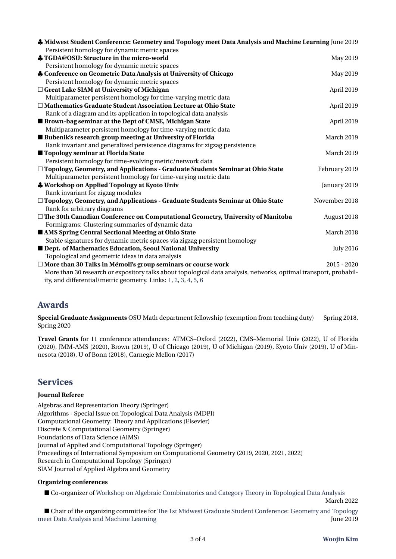| Midwest Student Conference: Geometry and Topology meet Data Analysis and Machine Learning June 2019<br>Persistent homology for dynamic metric spaces |                  |  |
|------------------------------------------------------------------------------------------------------------------------------------------------------|------------------|--|
| TGDA@OSU: Structure in the micro-world                                                                                                               | May 2019         |  |
| Persistent homology for dynamic metric spaces                                                                                                        |                  |  |
| Conference on Geometric Data Analysis at University of Chicago                                                                                       | May 2019         |  |
| Persistent homology for dynamic metric spaces                                                                                                        |                  |  |
| □ Great Lake SIAM at University of Michigan                                                                                                          | April 2019       |  |
| Multiparameter persistent homology for time-varying metric data                                                                                      |                  |  |
| □ Mathematics Graduate Student Association Lecture at Ohio State                                                                                     | April 2019       |  |
| Rank of a diagram and its application in topological data analysis                                                                                   |                  |  |
| <b>Brown-bag seminar at the Dept of CMSE, Michigan State</b>                                                                                         | April 2019       |  |
| Multiparameter persistent homology for time-varying metric data                                                                                      |                  |  |
| Bubenik's research group meeting at University of Florida                                                                                            | March 2019       |  |
| Rank invariant and generalized persistence diagrams for zigzag persistence                                                                           |                  |  |
| ■ Topology seminar at Florida State                                                                                                                  | March 2019       |  |
| Persistent homology for time-evolving metric/network data                                                                                            |                  |  |
| □ Topology, Geometry, and Applications - Graduate Students Seminar at Ohio State                                                                     | February 2019    |  |
| Multiparameter persistent homology for time-varying metric data                                                                                      |                  |  |
| <b>A</b> Workshop on Applied Topology at Kyoto Univ                                                                                                  | January 2019     |  |
| Rank invariant for zigzag modules                                                                                                                    |                  |  |
| □ Topology, Geometry, and Applications - Graduate Students Seminar at Ohio State                                                                     | November 2018    |  |
| Rank for arbitrary diagrams                                                                                                                          |                  |  |
| $\Box$ The 30th Canadian Conference on Computational Geometry, University of Manitoba                                                                | August 2018      |  |
| Formigrams: Clustering summaries of dynamic data                                                                                                     |                  |  |
| AMS Spring Central Sectional Meeting at Ohio State                                                                                                   | March 2018       |  |
| Stable signatures for dynamic metric spaces via zigzag persistent homology                                                                           |                  |  |
| Dept. of Mathematics Education, Seoul National University                                                                                            | <b>July 2016</b> |  |
| Topological and geometric ideas in data analysis                                                                                                     |                  |  |
| □ More than 30 Talks in Mémoli's group seminars or course work                                                                                       | $2015 - 2020$    |  |
| More than 30 research or expository talks about topological data analysis, networks, optimal transport, probabil-                                    |                  |  |
| ity, and differential/metric geometry. Links: 1, 2, 3, 4, 5, 6                                                                                       |                  |  |

# **Awards**

**Special Graduate Assignments** OSU Math department fellowship (exemption from teaching duty) Spring 2018, Spring 2020

**Travel Grants** for 11 conference attendances: ATMCS–Oxford (2022), CMS–Memorial Univ (2022), U of Florida (2020), JMM-AMS (2020), Brown (2019), U of Chicago (2019), U of Michigan (2019), Kyoto Univ (2019), U of Minnesota (2018), U of Bonn (2018), Carnegie Mellon (2017)

# **Services**

#### **Journal Referee**

Algebras and Representation Theory (Springer) Algorithms - Special Issue on Topological Data Analysis (MDPI) Computational Geometry: Theory and Applications (Elsevier) Discrete & Computational Geometry (Springer) Foundations of Data Science (AIMS) Journal of Applied and Computational Topology (Springer) Proceedings of International Symposium on Computational Geometry (2019, 2020, 2021, 2022) Research in Computational Topology (Springer) SIAM Journal of Applied Algebra and Geometry

#### **Organizing conferences**

■ Co-organizer of [Workshop on Algebraic Combinatorics and Category Theory in Topological Data Analysis](https://sites.google.com/view/tda-alg-combi-cat/home)

. March 2022 **March 2022** 

■ Chair of the organizing committee for [The 1st Midwest Graduate Student Conference: Geometry and Topology](https://tgda.osu.edu/gtdaml2019/) eet Data Analysis and Machine Learning June 2019 [meet Data Analysis and Machine Learning](https://tgda.osu.edu/gtdaml2019/)